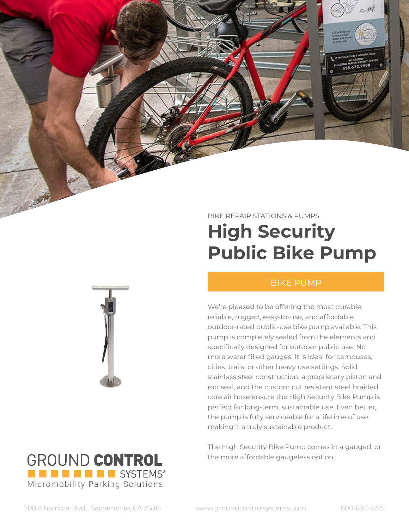# BIKE REPAIR STATIONS & PUMPS **High Security Public Bike Pump**

### BIKE PUMP

We're pleased to be offering the most durable, reliable, rugged, easy-to-use, and affordable outdoor-rated public-use bike pump available. This pump is completely sealed from the elements and specifically designed for outdoor public use. No more water filled gauges! It is ideal for campuses, cities, trails, or other heavy use settings. Solid stainless steel construction, a proprietary piston and rod seal, and the custom cut resistant steel braided core air hose ensure the High Security Bike Pump is perfect for long-term, sustainable use. Even better, the pump is fully serviceable for a lifetime of use making it a truly sustainable product.

The High Security Bike Pump comes in a gauged, or the more affordable gaugeless option.

[Micromobility Parking Solutions](https://www.groundcontrolsystems.com/)

**EN EN EN EN EL SYSTEMS®** 

GROUND CONTROL